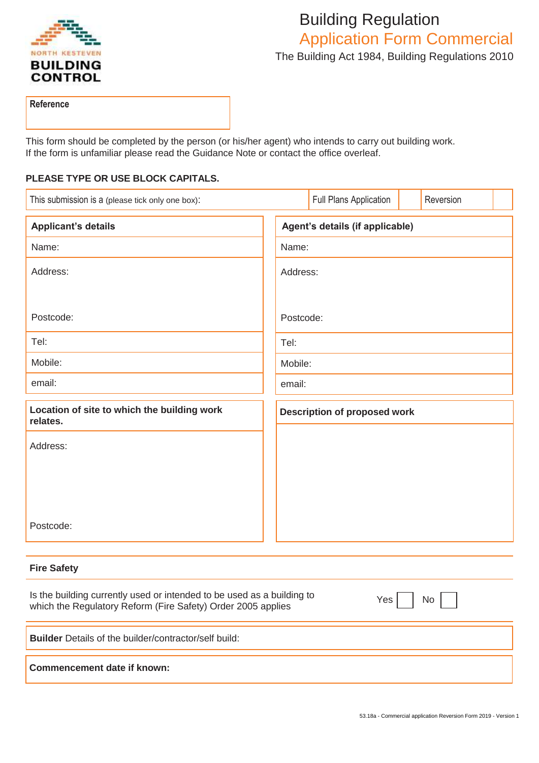

# Building Regulation Application Form Commercial The Building Act 1984, Building Regulations 2010

**Reference**

This form should be completed by the person (or his/her agent) who intends to carry out building work. If the form is unfamiliar please read the Guidance Note or contact the office overleaf.

## **PLEASE TYPE OR USE BLOCK CAPITALS.**

| This submission is a (please tick only one box):        |      |                                     | Full Plans Application |  | Reversion |  |
|---------------------------------------------------------|------|-------------------------------------|------------------------|--|-----------|--|
| <b>Applicant's details</b>                              |      | Agent's details (if applicable)     |                        |  |           |  |
| Name:                                                   |      | Name:                               |                        |  |           |  |
| Address:                                                |      | Address:                            |                        |  |           |  |
|                                                         |      |                                     |                        |  |           |  |
| Postcode:                                               |      | Postcode:                           |                        |  |           |  |
| Tel:                                                    | Tel: |                                     |                        |  |           |  |
| Mobile:                                                 |      | Mobile:                             |                        |  |           |  |
| email:                                                  |      | email:                              |                        |  |           |  |
| Location of site to which the building work<br>relates. |      | <b>Description of proposed work</b> |                        |  |           |  |
| Address:                                                |      |                                     |                        |  |           |  |
|                                                         |      |                                     |                        |  |           |  |
|                                                         |      |                                     |                        |  |           |  |
|                                                         |      |                                     |                        |  |           |  |
| Postcode:                                               |      |                                     |                        |  |           |  |

# **Fire Safety**

| Is the building currently used or intended to be used as a building to<br>which the Regulatory Reform (Fire Safety) Order 2005 applies | Yes  <br>No l |
|----------------------------------------------------------------------------------------------------------------------------------------|---------------|
| <b>Builder</b> Details of the builder/contractor/self build:                                                                           |               |
| Commencement date if known:                                                                                                            |               |